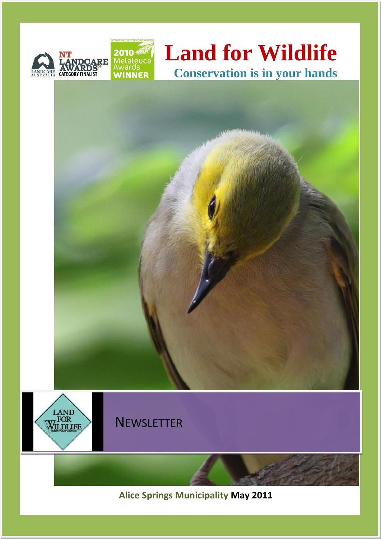

# **Land for Wildlife Conservation is in your hands**





**Alice Springs Municipality May 2011**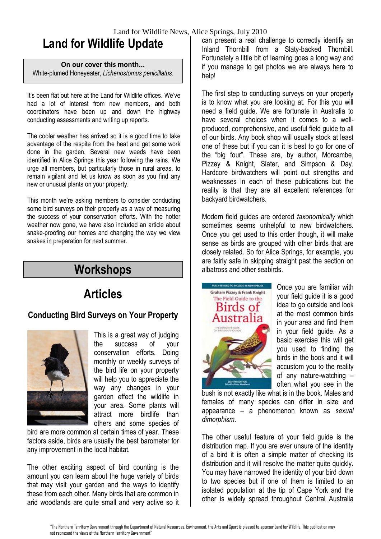# **Land for Wildlife Update**

#### **On our cover this month...**

White-plumed Honeyeater, *Lichenostomus penicillatus*.

It's been flat out here at the Land for Wildlife offices. We've had a lot of interest from new members, and both coordinators have been up and down the highway conducting assessments and writing up reports.

The cooler weather has arrived so it is a good time to take advantage of the respite from the heat and get some work done in the garden. Several new weeds have been identified in Alice Springs this year following the rains. We urge all members, but particularly those in rural areas, to remain vigilant and let us know as soon as you find any new or unusual plants on your property.

This month we're asking members to consider conducting some bird surveys on their property as a way of measuring the success of your conservation efforts. With the hotter weather now gone, we have also included an article about snake-proofing our homes and changing the way we view snakes in preparation for next summer.

### **Workshops**

# **Articles**

#### **Conducting Bird Surveys on Your Property**



This is a great way of judging the success of your conservation efforts. Doing monthly or weekly surveys of the bird life on your property will help you to appreciate the way any changes in your garden effect the wildlife in your area. Some plants will attract more birdlife than others and some species of

bird are more common at certain times of year. These factors aside, birds are usually the best barometer for any improvement in the local habitat.

The other exciting aspect of bird counting is the amount you can learn about the huge variety of birds that may visit your garden and the ways to identify these from each other. Many birds that are common in arid woodlands are quite small and very active so it can present a real challenge to correctly identify an Inland Thornbill from a Slaty-backed Thornbill. Fortunately a little bit of learning goes a long way and if you manage to get photos we are always here to help!

The first step to conducting surveys on your property is to know what you are looking at. For this you will need a field guide. We are fortunate in Australia to have several choices when it comes to a wellproduced, comprehensive, and useful field guide to all of our birds. Any book shop will usually stock at least one of these but if you can it is best to go for one of the "big four". These are, by author, Morcambe, Pizzey & Knight, Slater, and Simpson & Day. Hardcore birdwatchers will point out strengths and weaknesses in each of these publications but the reality is that they are all excellent references for backyard birdwatchers.

Modern field guides are ordered *taxonomically* which sometimes seems unhelpful to new birdwatchers. Once you get used to this order though, it will make sense as birds are grouped with other birds that are closely related. So for Alice Springs, for example, you are fairly safe in skipping straight past the section on albatross and other seabirds.



Once you are familiar with your field guide it is a good idea to go outside and look at the most common birds in your area and find them in your field guide. As a basic exercise this will get you used to finding the birds in the book and it will accustom you to the reality of any nature-watching – often what you see in the

bush is not exactly like what is in the book. Males and females of many species can differ in size and appearance – a phenomenon known as *sexual dimorphism*.

The other useful feature of your field guide is the distribution map. If you are ever unsure of the identity of a bird it is often a simple matter of checking its distribution and it will resolve the matter quite quickly. You may have narrowed the identity of your bird down to two species but if one of them is limited to an isolated population at the tip of Cape York and the other is widely spread throughout Central Australia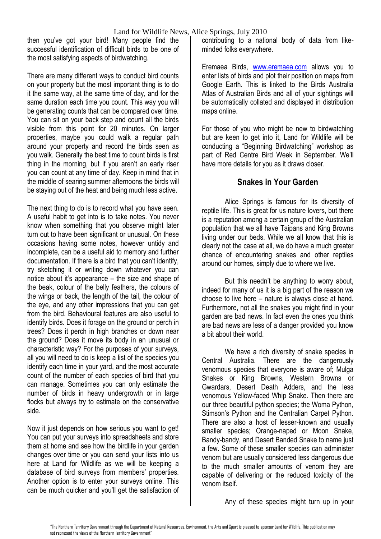then you've got your bird! Many people find the successful identification of difficult birds to be one of the most satisfying aspects of birdwatching.

There are many different ways to conduct bird counts on your property but the most important thing is to do it the same way, at the same time of day, and for the same duration each time you count. This way you will be generating counts that can be compared over time. You can sit on your back step and count all the birds visible from this point for 20 minutes. On larger properties, maybe you could walk a regular path around your property and record the birds seen as you walk. Generally the best time to count birds is first thing in the morning, but if you aren't an early riser you can count at any time of day. Keep in mind that in the middle of searing summer afternoons the birds will be staying out of the heat and being much less active.

The next thing to do is to record what you have seen. A useful habit to get into is to take notes. You never know when something that you observe might later turn out to have been significant or unusual. On these occasions having some notes, however untidy and incomplete, can be a useful aid to memory and further documentation. If there is a bird that you can't identify, try sketching it or writing down whatever you can notice about it's appearance – the size and shape of the beak, colour of the belly feathers, the colours of the wings or back, the length of the tail, the colour of the eye, and any other impressions that you can get from the bird. Behavioural features are also useful to identify birds. Does it forage on the ground or perch in trees? Does it perch in high branches or down near the ground? Does it move its body in an unusual or characteristic way? For the purposes of your surveys, all you will need to do is keep a list of the species you identify each time in your yard, and the most accurate count of the number of each species of bird that you can manage. Sometimes you can only estimate the number of birds in heavy undergrowth or in large flocks but always try to estimate on the conservative side.

Now it just depends on how serious you want to get! You can put your surveys into spreadsheets and store them at home and see how the birdlife in your garden changes over time or you can send your lists into us here at Land for Wildlife as we will be keeping a database of bird surveys from members' properties. Another option is to enter your surveys online. This can be much quicker and you'll get the satisfaction of contributing to a national body of data from likeminded folks everywhere.

Eremaea Birds, [www.eremaea.com](http://www.eremaea.com/) allows you to enter lists of birds and plot their position on maps from Google Earth. This is linked to the Birds Australia Atlas of Australian Birds and all of your sightings will be automatically collated and displayed in distribution maps online.

For those of you who might be new to birdwatching but are keen to get into it, Land for Wildlife will be conducting a "Beginning Birdwatching" workshop as part of Red Centre Bird Week in September. We'll have more details for you as it draws closer.

#### **Snakes in Your Garden**

Alice Springs is famous for its diversity of reptile life. This is great for us nature lovers, but there is a reputation among a certain group of the Australian population that we all have Taipans and King Browns living under our beds. While we all know that this is clearly not the case at all, we do have a much greater chance of encountering snakes and other reptiles around our homes, simply due to where we live.

But this needn't be anything to worry about, indeed for many of us it is a big part of the reason we choose to live here – nature is always close at hand. Furthermore, not all the snakes you might find in your garden are bad news. In fact even the ones you think are bad news are less of a danger provided you know a bit about their world.

We have a rich diversity of snake species in Central Australia. There are the dangerously venomous species that everyone is aware of; Mulga Snakes or King Browns, Western Browns or Gwardars, Desert Death Adders, and the less venomous Yellow-faced Whip Snake. Then there are our three beautiful python species; the Woma Python, Stimson's Python and the Centralian Carpet Python. There are also a host of lesser-known and usually smaller species; Orange-naped or Moon Snake, Bandy-bandy, and Desert Banded Snake to name just a few. Some of these smaller species can administer venom but are usually considered less dangerous due to the much smaller amounts of venom they are capable of delivering or the reduced toxicity of the venom itself.

Any of these species might turn up in your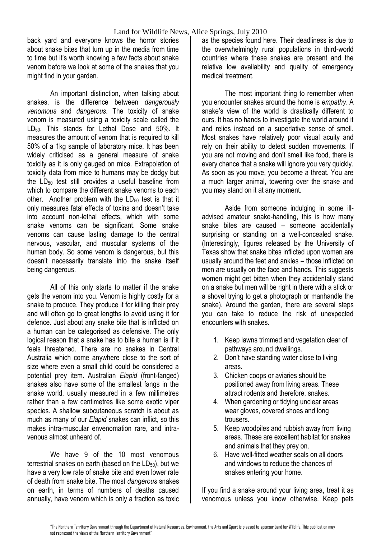back yard and everyone knows the horror stories about snake bites that turn up in the media from time to time but it's worth knowing a few facts about snake venom before we look at some of the snakes that you might find in your garden.

An important distinction, when talking about snakes, is the difference between *dangerously venomous* and *dangerous*. The toxicity of snake venom is measured using a toxicity scale called the LD<sub>50</sub>. This stands for Lethal Dose and 50%. It measures the amount of venom that is required to kill 50% of a 1kg sample of laboratory mice. It has been widely criticised as a general measure of snake toxicity as it is only gauged on mice. Extrapolation of toxicity data from mice to humans may be dodgy but the  $LD_{50}$  test still provides a useful baseline from which to compare the different snake venoms to each other. Another problem with the LD<sub>50</sub> test is that it only measures fatal effects of toxins and doesn't take into account non-lethal effects, which with some snake venoms can be significant. Some snake venoms can cause lasting damage to the central nervous, vascular, and muscular systems of the human body. So some venom is dangerous, but this doesn't necessarily translate into the snake itself being dangerous.

All of this only starts to matter if the snake gets the venom into you. Venom is highly costly for a snake to produce. They produce it for killing their prey and will often go to great lengths to avoid using it for defence. Just about any snake bite that is inflicted on a human can be categorised as defensive. The only logical reason that a snake has to bite a human is if it feels threatened. There are no snakes in Central Australia which come anywhere close to the sort of size where even a small child could be considered a potential prey item. Australian *Elapid* (front-fanged) snakes also have some of the smallest fangs in the snake world, usually measured in a few millimetres rather than a few centimetres like some exotic viper species. A shallow subcutaneous scratch is about as much as many of our *Elapid* snakes can inflict, so this makes intra-muscular envenomation rare, and intravenous almost unheard of.

We have 9 of the 10 most venomous terrestrial snakes on earth (based on the  $LD_{50}$ ), but we have a very low rate of snake bite and even lower rate of death from snake bite. The most *dangerous* snakes on earth, in terms of numbers of deaths caused annually, have venom which is only a fraction as toxic as the species found here. Their deadliness is due to the overwhelmingly rural populations in third-world countries where these snakes are present and the relative low availability and quality of emergency medical treatment.

The most important thing to remember when you encounter snakes around the home is *empathy*. A snake's view of the world is drastically different to ours. It has no hands to investigate the world around it and relies instead on a superlative sense of smell. Most snakes have relatively poor visual acuity and rely on their ability to detect sudden movements. If you are not moving and don't smell like food, there is every chance that a snake will ignore you very quickly. As soon as you move, you become a threat. You are a much larger animal, towering over the snake and you may stand on it at any moment.

Aside from someone indulging in some illadvised amateur snake-handling, this is how many snake bites are caused – someone accidentally surprising or standing on a well-concealed snake. (Interestingly, figures released by the University of Texas show that snake bites inflicted upon women are usually around the feet and ankles – those inflicted on men are usually on the face and hands. This suggests women might get bitten when they accidentally stand on a snake but men will be right in there with a stick or a shovel trying to get a photograph or manhandle the snake). Around the garden, there are several steps you can take to reduce the risk of unexpected encounters with snakes.

- 1. Keep lawns trimmed and vegetation clear of pathways around dwellings.
- 2. Don't have standing water close to living areas.
- 3. Chicken coops or aviaries should be positioned away from living areas. These attract rodents and therefore, snakes.
- 4. When gardening or tidying unclear areas wear gloves, covered shoes and long trousers.
- 5. Keep woodpiles and rubbish away from living areas. These are excellent habitat for snakes and animals that they prey on.
- 6. Have well-fitted weather seals on all doors and windows to reduce the chances of snakes entering your home.

If you find a snake around your living area, treat it as venomous unless you know otherwise. Keep pets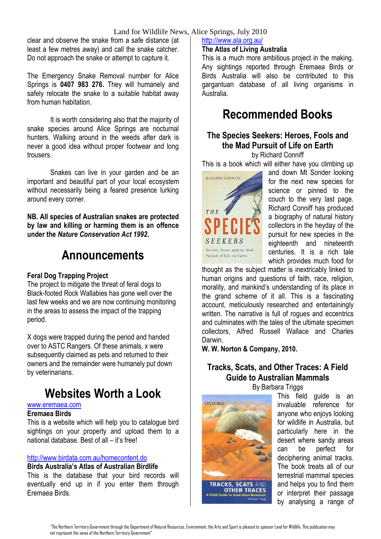#### Land for Wildlife News, Alice Springs, July 2010

clear and observe the snake from a safe distance (at least a few metres away) and call the snake catcher. Do not approach the snake or attempt to capture it.

The Emergency Snake Removal number for Alice Springs is **0407 983 276.** They will humanely and safely relocate the snake to a suitable habitat away from human habitation.

It is worth considering also that the majority of snake species around Alice Springs are nocturnal hunters. Walking around in the weeds after dark is never a good idea without proper footwear and long trousers.

Snakes can live in your garden and be an important and beautiful part of your local ecosystem without necessarily being a feared presence lurking around every corner.

**NB. All species of Australian snakes are protected by law and killing or harming them is an offence under the** *Nature Conservation Act 1992***.**

### **Announcements**

#### **Feral Dog Trapping Project**

The project to mitigate the threat of feral dogs to Black-footed Rock Wallabies has gone well over the last few weeks and we are now continuing monitoring in the areas to assess the impact of the trapping period.

X dogs were trapped during the period and handed over to ASTC Rangers. Of these animals, x were subsequently claimed as pets and returned to their owners and the remainder were humanely put down by veterinarians.

### **Websites Worth a Look**

#### [www.eremaea.com](http://www.eremaea.com/)

#### **Eremaea Birds**

This is a website which will help you to catalogue bird sightings on your property and upload them to a national database. Best of all – it's free!

#### <http://www.birdata.com.au/homecontent.do>

#### **Birds Australia's Atlas of Australian Birdlife**

This is the database that your bird records will eventually end up in if you enter them through Eremaea Birds.

#### <http://www.ala.org.au/>

#### **The Atlas of Living Australia**

This is a much more ambitious project in the making. Any sightings reported through Eremaea Birds or Birds Australia will also be contributed to this gargantuan database of all living organisms in Australia.

### **Recommended Books**

### **The Species Seekers: Heroes, Fools and the Mad Pursuit of Life on Earth**

by Richard Conniff

This is a book which will either have you climbing up



and down Mt Sonder looking for the next new species for science or pinned to the couch to the very last page. Richard Conniff has produced a biography of natural history collectors in the heyday of the pursuit for new species in the eighteenth and nineteenth centuries. It is a rich tale which provides much food for

thought as the subject matter is inextricably linked to human origins and questions of faith, race, religion, morality, and mankind's understanding of its place in the grand scheme of it all. This is a fascinating account, meticulously researched and entertainingly written. The narrative is full of rogues and eccentrics and culminates with the tales of the ultimate specimen collectors, Alfred Russell Wallace and Charles Darwin.

**W. W. Norton & Company, 2010.**

### **Tracks, Scats, and Other Traces: A Field Guide to Australian Mammals**

By Barbara Triggs



This field guide is an invaluable reference for anyone who enjoys looking for wildlife in Australia, but particularly here in the desert where sandy areas can be perfect for deciphering animal tracks. The book treats all of our terrestrial mammal species and helps you to find them or interpret their passage by analysing a range of